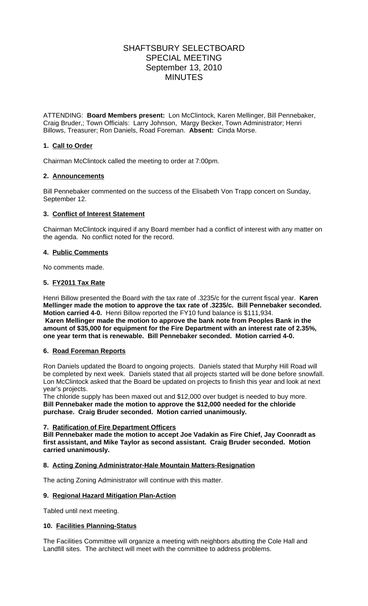# SHAFTSBURY SELECTBOARD SPECIAL MEETING September 13, 2010 MINUTES

ATTENDING: **Board Members present:** Lon McClintock, Karen Mellinger, Bill Pennebaker, Craig Bruder,; Town Officials: Larry Johnson,Margy Becker, Town Administrator; Henri Billows, Treasurer; Ron Daniels, Road Foreman. **Absent:** Cinda Morse.

### **1. Call to Order**

Chairman McClintock called the meeting to order at 7:00pm.

# **2. Announcements**

Bill Pennebaker commented on the success of the Elisabeth Von Trapp concert on Sunday, September 12.

# **3. Conflict of Interest Statement**

Chairman McClintock inquired if any Board member had a conflict of interest with any matter on the agenda. No conflict noted for the record.

### **4. Public Comments**

No comments made.

### **5. FY2011 Tax Rate**

Henri Billow presented the Board with the tax rate of .3235/c for the current fiscal year. **Karen Mellinger made the motion to approve the tax rate of .3235/c. Bill Pennebaker seconded. Motion carried 4-0.** Henri Billow reported the FY10 fund balance is \$111,934. **Karen Mellinger made the motion to approve the bank note from Peoples Bank in the amount of \$35,000 for equipment for the Fire Department with an interest rate of 2.35%, one year term that is renewable. Bill Pennebaker seconded. Motion carried 4-0.**

### **6. Road Foreman Reports**

Ron Daniels updated the Board to ongoing projects. Daniels stated that Murphy Hill Road will be completed by next week. Daniels stated that all projects started will be done before snowfall. Lon McClintock asked that the Board be updated on projects to finish this year and look at next year's projects.

The chloride supply has been maxed out and \$12,000 over budget is needed to buy more. **Bill Pennebaker made the motion to approve the \$12,000 needed for the chloride purchase. Craig Bruder seconded. Motion carried unanimously.**

### **7. Ratification of Fire Department Officers**

**Bill Pennebaker made the motion to accept Joe Vadakin as Fire Chief, Jay Coonradt as first assistant, and Mike Taylor as second assistant. Craig Bruder seconded. Motion carried unanimously.**

### **8. Acting Zoning Administrator-Hale Mountain Matters-Resignation**

The acting Zoning Administrator will continue with this matter.

### **9. Regional Hazard Mitigation Plan-Action**

Tabled until next meeting.

### **10. Facilities Planning-Status**

The Facilities Committee will organize a meeting with neighbors abutting the Cole Hall and Landfill sites. The architect will meet with the committee to address problems.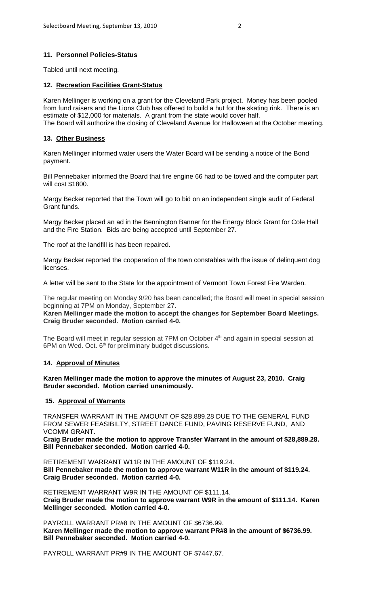### **11. Personnel Policies-Status**

Tabled until next meeting.

#### **12. Recreation Facilities Grant-Status**

Karen Mellinger is working on a grant for the Cleveland Park project. Money has been pooled from fund raisers and the Lions Club has offered to build a hut for the skating rink. There is an estimate of \$12,000 for materials. A grant from the state would cover half. The Board will authorize the closing of Cleveland Avenue for Halloween at the October meeting.

#### **13. Other Business**

Karen Mellinger informed water users the Water Board will be sending a notice of the Bond payment.

Bill Pennebaker informed the Board that fire engine 66 had to be towed and the computer part will cost \$1800.

Margy Becker reported that the Town will go to bid on an independent single audit of Federal Grant funds.

Margy Becker placed an ad in the Bennington Banner for the Energy Block Grant for Cole Hall and the Fire Station. Bids are being accepted until September 27.

The roof at the landfill is has been repaired.

Margy Becker reported the cooperation of the town constables with the issue of delinquent dog licenses.

A letter will be sent to the State for the appointment of Vermont Town Forest Fire Warden.

The regular meeting on Monday 9/20 has been cancelled; the Board will meet in special session beginning at 7PM on Monday, September 27.

**Karen Mellinger made the motion to accept the changes for September Board Meetings. Craig Bruder seconded. Motion carried 4-0.**

The Board will meet in regular session at 7PM on October 4<sup>th</sup> and again in special session at 6PM on Wed. Oct.  $6<sup>th</sup>$  for preliminary budget discussions.

### **14. Approval of Minutes**

**Karen Mellinger made the motion to approve the minutes of August 23, 2010. Craig Bruder seconded. Motion carried unanimously.** 

### **15. Approval of Warrants**

TRANSFER WARRANT IN THE AMOUNT OF \$28,889.28 DUE TO THE GENERAL FUND FROM SEWER FEASIBILTY, STREET DANCE FUND, PAVING RESERVE FUND, AND VCOMM GRANT.

**Craig Bruder made the motion to approve Transfer Warrant in the amount of \$28,889.28. Bill Pennebaker seconded. Motion carried 4-0.**

RETIREMENT WARRANT W11R IN THE AMOUNT OF \$119.24. **Bill Pennebaker made the motion to approve warrant W11R in the amount of \$119.24. Craig Bruder seconded. Motion carried 4-0.**

RETIREMENT WARRANT W9R IN THE AMOUNT OF \$111.14. **Craig Bruder made the motion to approve warrant W9R in the amount of \$111.14. Karen Mellinger seconded. Motion carried 4-0.**

PAYROLL WARRANT PR#8 IN THE AMOUNT OF \$6736.99. **Karen Mellinger made the motion to approve warrant PR#8 in the amount of \$6736.99. Bill Pennebaker seconded. Motion carried 4-0.**

PAYROLL WARRANT PR#9 IN THE AMOUNT OF \$7447.67.